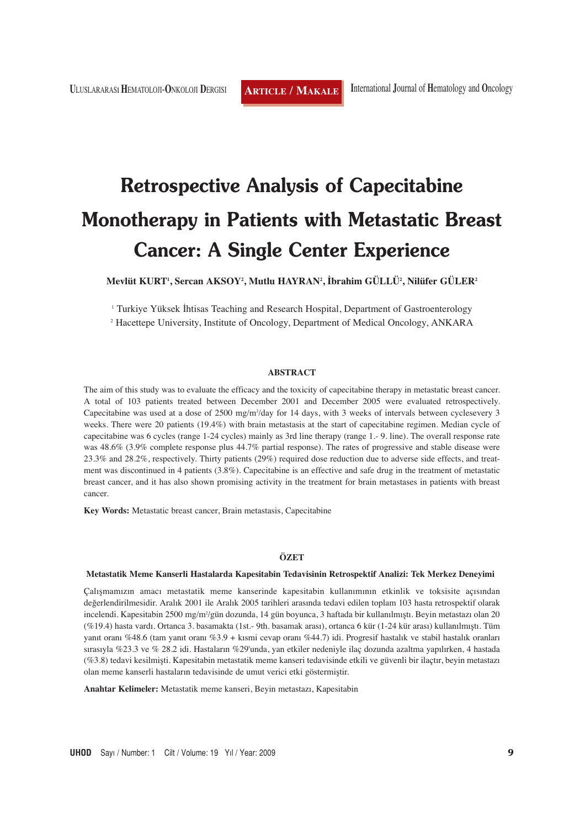# **Retrospective Analysis of Capecitabine Monotherapy in Patients with Metastatic Breast Cancer: A Single Center Experience**

**Mevlüt KURT1 , Sercan AKSOY2 , Mutlu HAYRAN2 , İbrahim GÜLLÜ2 , Nilüfer GÜLER2**

1 Turkiye Yüksek İhtisas Teaching and Research Hospital, Department of Gastroenterology

<sup>2</sup> Hacettepe University, Institute of Oncology, Department of Medical Oncology, ANKARA

#### **ABSTRACT**

The aim of this study was to evaluate the efficacy and the toxicity of capecitabine therapy in metastatic breast cancer. A total of 103 patients treated between December 2001 and December 2005 were evaluated retrospectively. Capecitabine was used at a dose of 2500 mg/m<sup>2</sup>/day for 14 days, with 3 weeks of intervals between cyclesevery 3 weeks. There were 20 patients (19.4%) with brain metastasis at the start of capecitabine regimen. Median cycle of capecitabine was 6 cycles (range 1-24 cycles) mainly as 3rd line therapy (range 1.- 9. line). The overall response rate was 48.6% (3.9% complete response plus 44.7% partial response). The rates of progressive and stable disease were 23.3% and 28.2%, respectively. Thirty patients (29%) required dose reduction due to adverse side effects, and treatment was discontinued in 4 patients (3.8%). Capecitabine is an effective and safe drug in the treatment of metastatic breast cancer, and it has also shown promising activity in the treatment for brain metastases in patients with breast cancer.

**Key Words:** Metastatic breast cancer, Brain metastasis, Capecitabine

### **ÖZET**

#### **Metastatik Meme Kanserli Hastalarda Kapesitabin Tedavisinin Retrospektif Analizi: Tek Merkez Deneyimi**

Çalışmamızın amacı metastatik meme kanserinde kapesitabin kullanımının etkinlik ve toksisite açısından değerlendirilmesidir. Aralık 2001 ile Aralık 2005 tarihleri arasında tedavi edilen toplam 103 hasta retrospektif olarak incelendi. Kapesitabin 2500 mg/m<sup>2</sup>/gün dozunda, 14 gün boyunca, 3 haftada bir kullanılmıştı. Beyin metastazı olan 20 (%19.4) hasta vardı. Ortanca 3. basamakta (1st.- 9th. basamak arası), ortanca 6 kür (1-24 kür arası) kullanılmıştı. Tüm yanıt oranı %48.6 (tam yanıt oranı %3.9 + kısmi cevap oranı %44.7) idi. Progresif hastalık ve stabil hastalık oranları sırasıyla %23.3 ve % 28.2 idi. Hastaların %29'unda, yan etkiler nedeniyle ilaç dozunda azaltma yapılırken, 4 hastada (%3.8) tedavi kesilmişti. Kapesitabin metastatik meme kanseri tedavisinde etkili ve güvenli bir ilaçtır, beyin metastazı olan meme kanserli hastaların tedavisinde de umut verici etki göstermiştir.

**Anahtar Kelimeler:** Metastatik meme kanseri, Beyin metastazı, Kapesitabin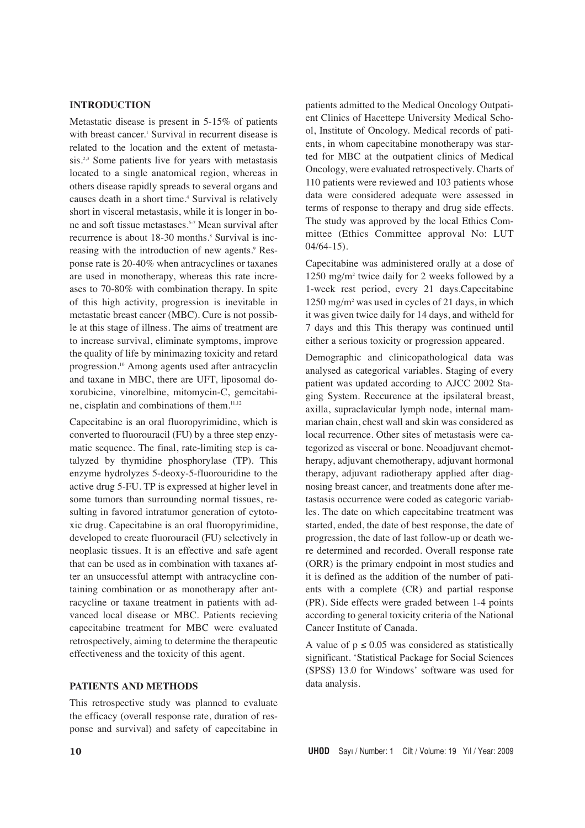# **INTRODUCTION**

Metastatic disease is present in 5-15% of patients with breast cancer.<sup>1</sup> Survival in recurrent disease is related to the location and the extent of metasta $sis.^{2,3}$  Some patients live for years with metastasis located to a single anatomical region, whereas in others disease rapidly spreads to several organs and causes death in a short time.<sup>4</sup> Survival is relatively short in visceral metastasis, while it is longer in bone and soft tissue metastases.<sup>5-7</sup> Mean survival after recurrence is about 18-30 months.<sup>8</sup> Survival is increasing with the introduction of new agents.<sup>9</sup> Response rate is 20-40% when antracyclines or taxanes are used in monotherapy, whereas this rate increases to 70-80% with combination therapy. In spite of this high activity, progression is inevitable in metastatic breast cancer (MBC). Cure is not possible at this stage of illness. The aims of treatment are to increase survival, eliminate symptoms, improve the quality of life by minimazing toxicity and retard progression.10 Among agents used after antracyclin and taxane in MBC, there are UFT, liposomal doxorubicine, vinorelbine, mitomycin-C, gemcitabine, cisplatin and combinations of them.11,12

Capecitabine is an oral fluoropyrimidine, which is converted to fluorouracil (FU) by a three step enzymatic sequence. The final, rate-limiting step is catalyzed by thymidine phosphorylase (TP). This enzyme hydrolyzes 5-deoxy-5-fluorouridine to the active drug 5-FU. TP is expressed at higher level in some tumors than surrounding normal tissues, resulting in favored intratumor generation of cytotoxic drug. Capecitabine is an oral fluoropyrimidine, developed to create fluorouracil (FU) selectively in neoplasic tissues. It is an effective and safe agent that can be used as in combination with taxanes after an unsuccessful attempt with antracycline containing combination or as monotherapy after antracycline or taxane treatment in patients with advanced local disease or MBC. Patients recieving capecitabine treatment for MBC were evaluated retrospectively, aiming to determine the therapeutic effectiveness and the toxicity of this agent.

## **PATIENTS AND METHODS**

This retrospective study was planned to evaluate the efficacy (overall response rate, duration of response and survival) and safety of capecitabine in

patients admitted to the Medical Oncology Outpatient Clinics of Hacettepe University Medical School, Institute of Oncology. Medical records of patients, in whom capecitabine monotherapy was started for MBC at the outpatient clinics of Medical Oncology, were evaluated retrospectively. Charts of 110 patients were reviewed and 103 patients whose data were considered adequate were assessed in terms of response to therapy and drug side effects. The study was approved by the local Ethics Committee (Ethics Committee approval No: LUT 04/64-15).

Capecitabine was administered orally at a dose of 1250 mg/m2 twice daily for 2 weeks followed by a 1-week rest period, every 21 days.Capecitabine 1250 mg/m2 was used in cycles of 21 days, in which it was given twice daily for 14 days, and witheld for 7 days and this This therapy was continued until either a serious toxicity or progression appeared.

Demographic and clinicopathological data was analysed as categorical variables. Staging of every patient was updated according to AJCC 2002 Staging System. Reccurence at the ipsilateral breast, axilla, supraclavicular lymph node, internal mammarian chain, chest wall and skin was considered as local recurrence. Other sites of metastasis were categorized as visceral or bone. Neoadjuvant chemotherapy, adjuvant chemotherapy, adjuvant hormonal therapy, adjuvant radiotherapy applied after diagnosing breast cancer, and treatments done after metastasis occurrence were coded as categoric variables. The date on which capecitabine treatment was started, ended, the date of best response, the date of progression, the date of last follow-up or death were determined and recorded. Overall response rate (ORR) is the primary endpoint in most studies and it is defined as the addition of the number of patients with a complete (CR) and partial response (PR). Side effects were graded between 1-4 points according to general toxicity criteria of the National Cancer Institute of Canada.

A value of  $p \le 0.05$  was considered as statistically significant. 'Statistical Package for Social Sciences (SPSS) 13.0 for Windows' software was used for data analysis.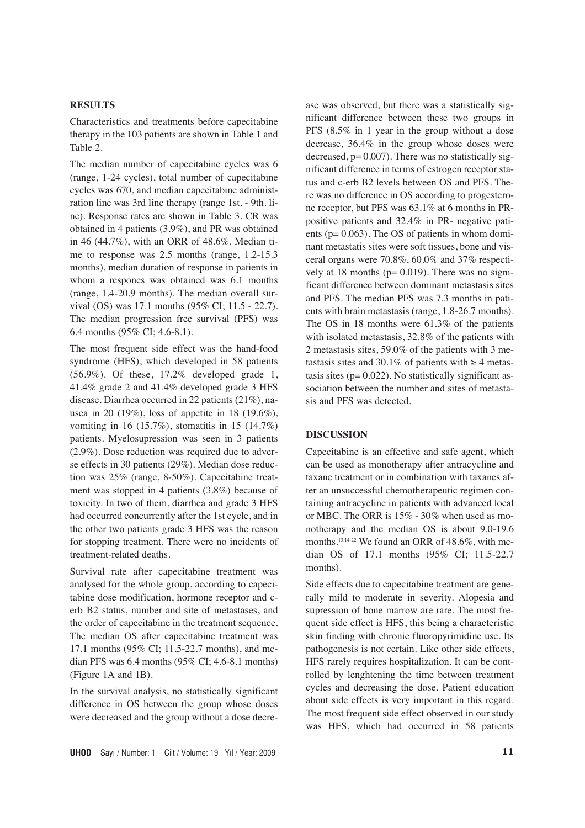# **RESULTS**

Characteristics and treatments before capecitabine therapy in the 103 patients are shown in Table 1 and Table 2.

The median number of capecitabine cycles was 6 (range, 1-24 cycles), total number of capecitabine cycles was 670, and median capecitabine administration line was 3rd line therapy (range 1st. - 9th. line). Response rates are shown in Table 3. CR was obtained in 4 patients (3.9%), and PR was obtained in 46 (44.7%), with an ORR of 48.6%. Median time to response was 2.5 months (range, 1.2-15.3 months), median duration of response in patients in whom a respones was obtained was 6.1 months (range, 1.4-20.9 months). The median overall survival (OS) was 17.1 months (95% CI; 11.5 - 22.7). The median progression free survival (PFS) was 6.4 months (95% CI; 4.6-8.1).

The most frequent side effect was the hand-food syndrome (HFS), which developed in 58 patients (56.9%). Of these, 17.2% developed grade 1, 41.4% grade 2 and 41.4% developed grade 3 HFS disease. Diarrhea occurred in 22 patients (21%), nausea in 20 (19%), loss of appetite in 18 (19.6%), vomiting in 16 (15.7%), stomatitis in 15 (14.7%) patients. Myelosupression was seen in 3 patients (2.9%). Dose reduction was required due to adverse effects in 30 patients (29%). Median dose reduction was 25% (range, 8-50%). Capecitabine treatment was stopped in 4 patients (3.8%) because of toxicity. In two of them, diarrhea and grade 3 HFS had occurred concurrently after the 1st cycle, and in the other two patients grade 3 HFS was the reason for stopping treatment. There were no incidents of treatment-related deaths.

Survival rate after capecitabine treatment was analysed for the whole group, according to capecitabine dose modification, hormone receptor and cerb B2 status, number and site of metastases, and the order of capecitabine in the treatment sequence. The median OS after capecitabine treatment was 17.1 months (95% CI; 11.5-22.7 months), and median PFS was 6.4 months (95% CI; 4.6-8.1 months) (Figure 1A and 1B).

In the survival analysis, no statistically significant difference in OS between the group whose doses were decreased and the group without a dose decrease was observed, but there was a statistically significant difference between these two groups in PFS (8.5% in 1 year in the group without a dose decrease, 36.4% in the group whose doses were decreased,  $p= 0.007$ ). There was no statistically significant difference in terms of estrogen receptor status and c-erb B2 levels between OS and PFS. There was no difference in OS according to progesterone receptor, but PFS was 63.1% at 6 months in PRpositive patients and 32.4% in PR- negative patients ( $p= 0.063$ ). The OS of patients in whom dominant metastatis sites were soft tissues, bone and visceral organs were 70.8%, 60.0% and 37% respectively at 18 months ( $p= 0.019$ ). There was no significant difference between dominant metastasis sites and PFS. The median PFS was 7.3 months in patients with brain metastasis (range, 1.8-26.7 months). The OS in 18 months were 61.3% of the patients with isolated metastasis, 32.8% of the patients with 2 metastasis sites, 59.0% of the patients with 3 metastasis sites and 30.1% of patients with  $\geq 4$  metastasis sites ( $p= 0.022$ ). No statistically significant association between the number and sites of metastasis and PFS was detected.

## **DISCUSSION**

Capecitabine is an effective and safe agent, which can be used as monotherapy after antracycline and taxane treatment or in combination with taxanes after an unsuccessful chemotherapeutic regimen containing antracycline in patients with advanced local or MBC. The ORR is 15% - 30% when used as monotherapy and the median OS is about 9.0-19.6 months.<sup>13,14-22</sup> We found an ORR of 48.6%, with median OS of 17.1 months (95% CI; 11.5-22.7 months).

Side effects due to capecitabine treatment are generally mild to moderate in severity. Alopesia and supression of bone marrow are rare. The most frequent side effect is HFS, this being a characteristic skin finding with chronic fluoropyrimidine use. Its pathogenesis is not certain. Like other side effects, HFS rarely requires hospitalization. It can be controlled by lenghtening the time between treatment cycles and decreasing the dose. Patient education about side effects is very important in this regard. The most frequent side effect observed in our study was HFS, which had occurred in 58 patients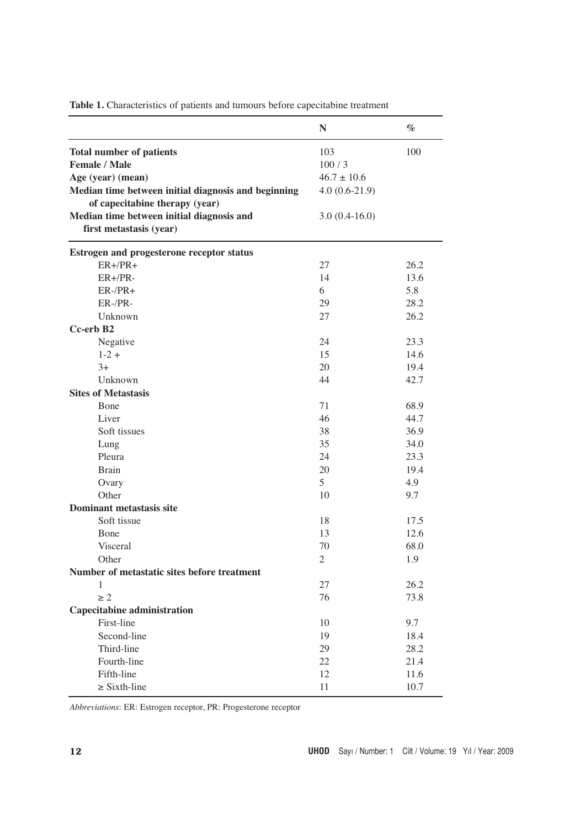|                                                                                                                                                                                                                                               | $\mathbb N$                                                           | $\%$ |
|-----------------------------------------------------------------------------------------------------------------------------------------------------------------------------------------------------------------------------------------------|-----------------------------------------------------------------------|------|
| <b>Total number of patients</b><br><b>Female / Male</b><br>Age (year) (mean)<br>Median time between initial diagnosis and beginning<br>of capecitabine therapy (year)<br>Median time between initial diagnosis and<br>first metastasis (year) | 103<br>100/3<br>$46.7 \pm 10.6$<br>$4.0(0.6-21.9)$<br>$3.0(0.4-16.0)$ | 100  |
|                                                                                                                                                                                                                                               |                                                                       |      |
| Estrogen and progesterone receptor status<br>$ER+/PR+$                                                                                                                                                                                        | 27                                                                    | 26.2 |
| $ER+/PR-$                                                                                                                                                                                                                                     | 14                                                                    | 13.6 |
| $ER-/PR+$                                                                                                                                                                                                                                     | 6                                                                     | 5.8  |
| ER-/PR-                                                                                                                                                                                                                                       | 29                                                                    | 28.2 |
| Unknown                                                                                                                                                                                                                                       | 27                                                                    | 26.2 |
| Cc-erb B2                                                                                                                                                                                                                                     |                                                                       |      |
| Negative                                                                                                                                                                                                                                      | 24                                                                    | 23.3 |
| $1 - 2 +$                                                                                                                                                                                                                                     | 15                                                                    | 14.6 |
| $3+$                                                                                                                                                                                                                                          | 20                                                                    | 19.4 |
| Unknown                                                                                                                                                                                                                                       | 44                                                                    | 42.7 |
| <b>Sites of Metastasis</b>                                                                                                                                                                                                                    |                                                                       |      |
| Bone                                                                                                                                                                                                                                          | 71                                                                    | 68.9 |
| Liver                                                                                                                                                                                                                                         | 46                                                                    | 44.7 |
| Soft tissues                                                                                                                                                                                                                                  | 38                                                                    | 36.9 |
| Lung                                                                                                                                                                                                                                          | 35                                                                    | 34.0 |
| Pleura                                                                                                                                                                                                                                        | 24                                                                    | 23.3 |
| <b>Brain</b>                                                                                                                                                                                                                                  | 20                                                                    | 19.4 |
| Ovary                                                                                                                                                                                                                                         | 5                                                                     | 4.9  |
| Other                                                                                                                                                                                                                                         | 10                                                                    | 9.7  |
| <b>Dominant metastasis site</b>                                                                                                                                                                                                               |                                                                       |      |
| Soft tissue                                                                                                                                                                                                                                   | 18                                                                    | 17.5 |
| Bone                                                                                                                                                                                                                                          | 13                                                                    | 12.6 |
| Visceral                                                                                                                                                                                                                                      | 70                                                                    | 68.0 |
| Other                                                                                                                                                                                                                                         | $\overline{c}$                                                        | 1.9  |
| Number of metastatic sites before treatment                                                                                                                                                                                                   |                                                                       |      |
| 1                                                                                                                                                                                                                                             | 27                                                                    | 26.2 |
| $\geq 2$                                                                                                                                                                                                                                      | 76                                                                    | 73.8 |
| <b>Capecitabine administration</b>                                                                                                                                                                                                            |                                                                       |      |
| First-line                                                                                                                                                                                                                                    | 10                                                                    | 9.7  |
| Second-line                                                                                                                                                                                                                                   | 19                                                                    | 18.4 |
| Third-line                                                                                                                                                                                                                                    | 29                                                                    | 28.2 |
| Fourth-line                                                                                                                                                                                                                                   | 22                                                                    | 21.4 |
| Fifth-line                                                                                                                                                                                                                                    | 12                                                                    | 11.6 |
| $\geq$ Sixth-line                                                                                                                                                                                                                             | 11                                                                    | 10.7 |

Table 1. Characteristics of patients and tumours before capecitabine treatment

*Abbreviations*: ER: Estrogen receptor, PR: Progesterone receptor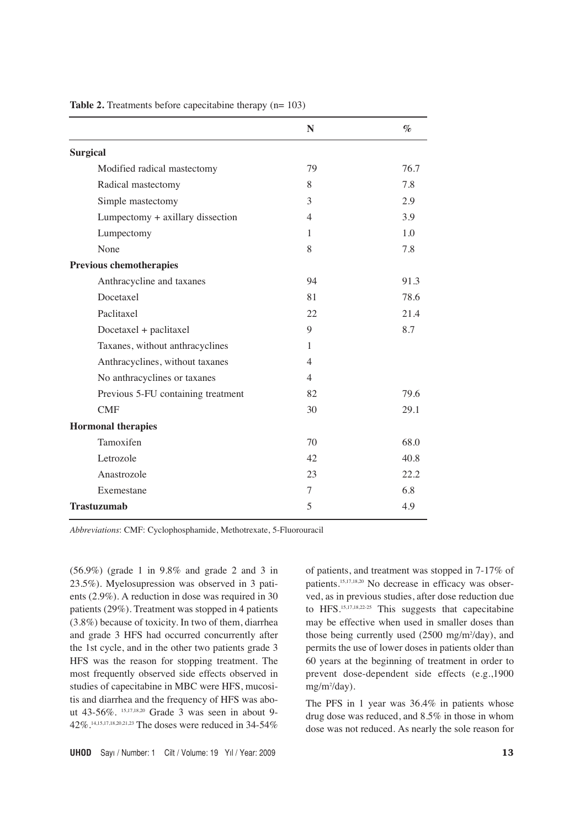|                                    | N              | $\%$ |
|------------------------------------|----------------|------|
| <b>Surgical</b>                    |                |      |
| Modified radical mastectomy        | 79             | 76.7 |
| Radical mastectomy                 | 8              | 7.8  |
| Simple mastectomy                  | 3              | 2.9  |
| Lumpectomy + axillary dissection   | $\overline{4}$ | 3.9  |
| Lumpectomy                         | 1              | 1.0  |
| None                               | 8              | 7.8  |
| <b>Previous chemotherapies</b>     |                |      |
| Anthracycline and taxanes          | 94             | 91.3 |
| Docetaxel                          | 81             | 78.6 |
| Paclitaxel                         | 22             | 21.4 |
| Docetaxel + paclitaxel             | 9              | 8.7  |
| Taxanes, without anthracyclines    | 1              |      |
| Anthracyclines, without taxanes    | $\overline{4}$ |      |
| No anthracyclines or taxanes       | $\overline{4}$ |      |
| Previous 5-FU containing treatment | 82             | 79.6 |
| <b>CMF</b>                         | 30             | 29.1 |
| <b>Hormonal therapies</b>          |                |      |
| Tamoxifen                          | 70             | 68.0 |
| Letrozole                          | 42             | 40.8 |
| Anastrozole                        | 23             | 22.2 |
| Exemestane                         | 7              | 6.8  |
| <b>Trastuzumab</b>                 | 5              | 4.9  |

**Table 2.** Treatments before capecitabine therapy (n= 103)

*Abbreviations*: CMF: Cyclophosphamide, Methotrexate, 5-Fluorouracil

(56.9%) (grade 1 in 9.8% and grade 2 and 3 in 23.5%). Myelosupression was observed in 3 patients (2.9%). A reduction in dose was required in 30 patients (29%). Treatment was stopped in 4 patients (3.8%) because of toxicity. In two of them, diarrhea and grade 3 HFS had occurred concurrently after the 1st cycle, and in the other two patients grade 3 HFS was the reason for stopping treatment. The most frequently observed side effects observed in studies of capecitabine in MBC were HFS, mucositis and diarrhea and the frequency of HFS was about 43-56%. 15,17,18,20 Grade 3 was seen in about 9- 42%.14,15,17,18,20,21,23 The doses were reduced in 34-54% of patients, and treatment was stopped in 7-17% of patients.<sup>15,17,18,20</sup> No decrease in efficacy was observed, as in previous studies, after dose reduction due to HFS.15,17,18,22-25 This suggests that capecitabine may be effective when used in smaller doses than those being currently used (2500 mg/m<sup>2</sup>/day), and permits the use of lower doses in patients older than 60 years at the beginning of treatment in order to prevent dose-dependent side effects (e.g.,1900 mg/m2 /day).

The PFS in 1 year was 36.4% in patients whose drug dose was reduced, and 8.5% in those in whom dose was not reduced. As nearly the sole reason for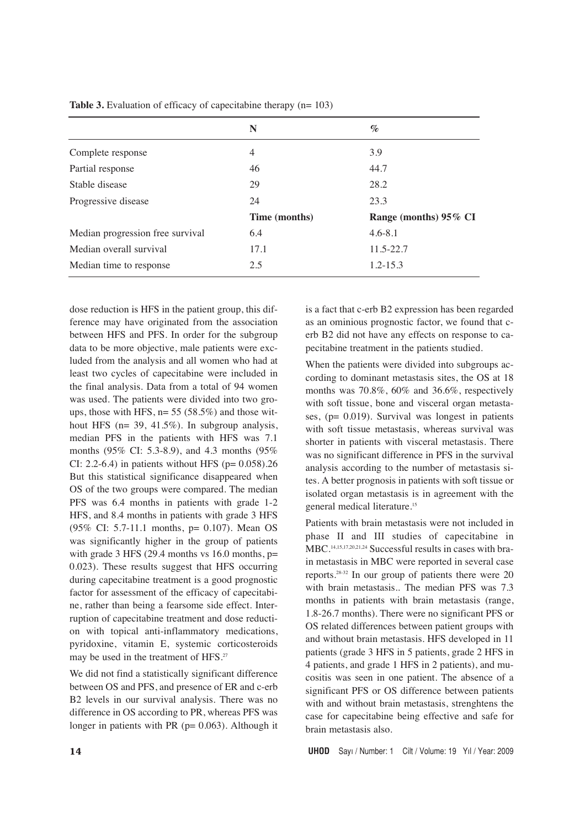|                                  | N             | $\%$                  |
|----------------------------------|---------------|-----------------------|
| Complete response                | 4             | 3.9                   |
| Partial response                 | 46            | 44.7                  |
| Stable disease                   | 29            | 28.2                  |
| Progressive disease              | 24            | 23.3                  |
|                                  | Time (months) | Range (months) 95% CI |
| Median progression free survival | 6.4           | $4.6 - 8.1$           |
| Median overall survival          | 17.1          | $11.5 - 22.7$         |
| Median time to response          | 2.5           | $1.2 - 15.3$          |
|                                  |               |                       |

**Table 3.** Evaluation of efficacy of capecitabine therapy (n= 103)

dose reduction is HFS in the patient group, this difference may have originated from the association between HFS and PFS. In order for the subgroup data to be more objective, male patients were excluded from the analysis and all women who had at least two cycles of capecitabine were included in the final analysis. Data from a total of 94 women was used. The patients were divided into two groups, those with HFS,  $n= 55 (58.5%)$  and those without HFS (n= 39, 41.5%). In subgroup analysis, median PFS in the patients with HFS was 7.1 months (95% CI: 5.3-8.9), and 4.3 months (95% CI: 2.2-6.4) in patients without HFS ( $p= 0.058$ ).26 But this statistical significance disappeared when OS of the two groups were compared. The median PFS was 6.4 months in patients with grade 1-2 HFS, and 8.4 months in patients with grade 3 HFS (95% CI: 5.7-11.1 months, p= 0.107). Mean OS was significantly higher in the group of patients with grade 3 HFS (29.4 months vs  $16.0$  months,  $p=$ 0.023). These results suggest that HFS occurring during capecitabine treatment is a good prognostic factor for assessment of the efficacy of capecitabine, rather than being a fearsome side effect. Interruption of capecitabine treatment and dose reduction with topical anti-inflammatory medications, pyridoxine, vitamin E, systemic corticosteroids may be used in the treatment of HFS.<sup>27</sup>

We did not find a statistically significant difference between OS and PFS, and presence of ER and c-erb B2 levels in our survival analysis. There was no difference in OS according to PR, whereas PFS was longer in patients with PR ( $p= 0.063$ ). Although it

is a fact that c-erb B2 expression has been regarded as an ominious prognostic factor, we found that cerb B2 did not have any effects on response to capecitabine treatment in the patients studied.

When the patients were divided into subgroups according to dominant metastasis sites, the OS at 18 months was 70.8%, 60% and 36.6%, respectively with soft tissue, bone and visceral organ metastases,  $(p= 0.019)$ . Survival was longest in patients with soft tissue metastasis, whereas survival was shorter in patients with visceral metastasis. There was no significant difference in PFS in the survival analysis according to the number of metastasis sites. A better prognosis in patients with soft tissue or isolated organ metastasis is in agreement with the general medical literature.15

Patients with brain metastasis were not included in phase II and III studies of capecitabine in MBC.14,15,17,20,21,24 Successful results in cases with brain metastasis in MBC were reported in several case reports.28-32 In our group of patients there were 20 with brain metastasis.. The median PFS was 7.3 months in patients with brain metastasis (range, 1.8-26.7 months). There were no significant PFS or OS related differences between patient groups with and without brain metastasis. HFS developed in 11 patients (grade 3 HFS in 5 patients, grade 2 HFS in 4 patients, and grade 1 HFS in 2 patients), and mucositis was seen in one patient. The absence of a significant PFS or OS difference between patients with and without brain metastasis, strenghtens the case for capecitabine being effective and safe for brain metastasis also.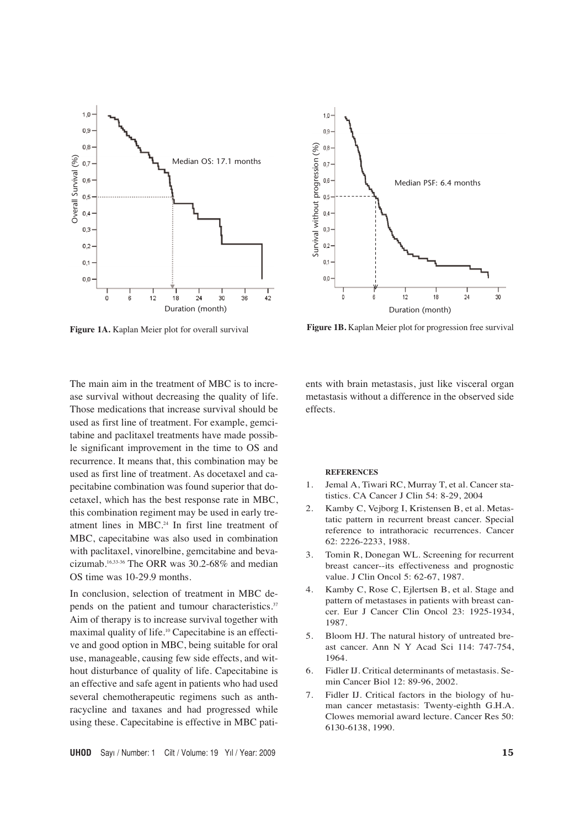



In conclusion, selection of treatment in MBC depends on the patient and tumour characteristics.<sup>37</sup> Aim of therapy is to increase survival together with maximal quality of life.10 Capecitabine is an effective and good option in MBC, being suitable for oral use, manageable, causing few side effects, and without disturbance of quality of life. Capecitabine is an effective and safe agent in patients who had used several chemotherapeutic regimens such as anthracycline and taxanes and had progressed while using these. Capecitabine is effective in MBC pati-



Figure 1A. Kaplan Meier plot for overall survival Figure 1B. Kaplan Meier plot for progression free survival

ents with brain metastasis, just like visceral organ metastasis without a difference in the observed side effects.

#### **REFERENCES**

- 1. Jemal A, Tiwari RC, Murray T, et al. Cancer statistics. CA Cancer J Clin 54: 8-29, 2004
- 2. Kamby C, Vejborg I, Kristensen B, et al. Metastatic pattern in recurrent breast cancer. Special reference to intrathoracic recurrences. Cancer 62: 2226-2233, 1988.
- 3. Tomin R, Donegan WL. Screening for recurrent breast cancer--its effectiveness and prognostic value. J Clin Oncol 5: 62-67, 1987.
- 4. Kamby C, Rose C, Ejlertsen B, et al. Stage and pattern of metastases in patients with breast cancer. Eur J Cancer Clin Oncol 23: 1925-1934, 1987.
- 5. Bloom HJ. The natural history of untreated breast cancer. Ann N Y Acad Sci 114: 747-754, 1964.
- 6. Fidler IJ. Critical determinants of metastasis. Semin Cancer Biol 12: 89-96, 2002.
- 7. Fidler IJ. Critical factors in the biology of human cancer metastasis: Twenty-eighth G.H.A. Clowes memorial award lecture. Cancer Res 50: 6130-6138, 1990.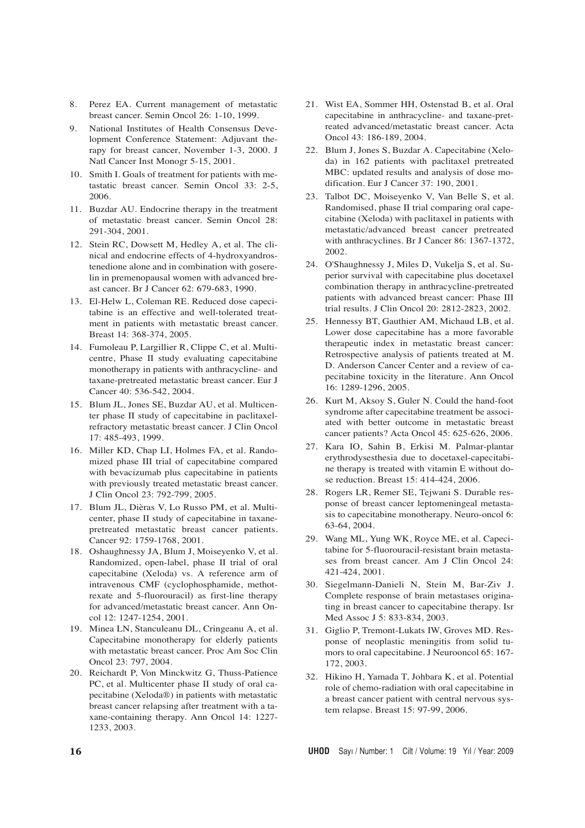- 8. Perez EA. Current management of metastatic breast cancer. Semin Oncol 26: 1-10, 1999.
- 9. National Institutes of Health Consensus Development Conference Statement: Adjuvant therapy for breast cancer, November 1-3, 2000. J Natl Cancer Inst Monogr 5-15, 2001.
- 10. Smith I. Goals of treatment for patients with metastatic breast cancer. Semin Oncol 33: 2-5, 2006.
- 11. Buzdar AU. Endocrine therapy in the treatment of metastatic breast cancer. Semin Oncol 28: 291-304, 2001.
- 12. Stein RC, Dowsett M, Hedley A, et al. The clinical and endocrine effects of 4-hydroxyandrostenedione alone and in combination with goserelin in premenopausal women with advanced breast cancer. Br J Cancer 62: 679-683, 1990.
- 13. El-Helw L, Coleman RE. Reduced dose capecitabine is an effective and well-tolerated treatment in patients with metastatic breast cancer. Breast 14: 368-374, 2005.
- 14. Fumoleau P, Largillier R, Clippe C, et al. Multicentre, Phase II study evaluating capecitabine monotherapy in patients with anthracycline- and taxane-pretreated metastatic breast cancer. Eur J Cancer 40: 536-542, 2004.
- 15. Blum JL, Jones SE, Buzdar AU, et al. Multicenter phase II study of capecitabine in paclitaxelrefractory metastatic breast cancer. J Clin Oncol 17: 485-493, 1999.
- 16. Miller KD, Chap LI, Holmes FA, et al. Randomized phase III trial of capecitabine compared with bevacizumab plus capecitabine in patients with previously treated metastatic breast cancer. J Clin Oncol 23: 792-799, 2005.
- 17. Blum JL, Dièras V, Lo Russo PM, et al. Multicenter, phase II study of capecitabine in taxanepretreated metastatic breast cancer patients. Cancer 92: 1759-1768, 2001.
- 18. Oshaughnessy JA, Blum J, Moiseyenko V, et al. Randomized, open-label, phase II trial of oral capecitabine (Xeloda) vs. A reference arm of intravenous CMF (cyclophosphamide, methotrexate and 5-fluorouracil) as first-line therapy for advanced/metastatic breast cancer. Ann Oncol 12: 1247-1254, 2001.
- 19. Minea LN, Stanculeanu DL, Cringeanu A, et al. Capecitabine monotherapy for elderly patients with metastatic breast cancer. Proc Am Soc Clin Oncol 23: 797, 2004.
- 20. Reichardt P, Von Minckwitz G, Thuss-Patience PC, et al. Multicenter phase II study of oral capecitabine (Xeloda®) in patients with metastatic breast cancer relapsing after treatment with a taxane-containing therapy. Ann Oncol 14: 1227- 1233, 2003.
- 21. Wist EA, Sommer HH, Ostenstad B, et al. Oral capecitabine in anthracycline- and taxane-pretreated advanced/metastatic breast cancer. Acta Oncol 43: 186-189, 2004.
- 22. Blum J, Jones S, Buzdar A. Capecitabine (Xeloda) in 162 patients with paclitaxel pretreated MBC: updated results and analysis of dose modification. Eur J Cancer 37: 190, 2001.
- 23. Talbot DC, Moiseyenko V, Van Belle S, et al. Randomised, phase II trial comparing oral capecitabine (Xeloda) with paclitaxel in patients with metastatic/advanced breast cancer pretreated with anthracyclines. Br J Cancer 86: 1367-1372, 2002.
- 24. O'Shaughnessy J, Miles D, Vukelja S, et al. Superior survival with capecitabine plus docetaxel combination therapy in anthracycline-pretreated patients with advanced breast cancer: Phase III trial results. J Clin Oncol 20: 2812-2823, 2002.
- 25. Hennessy BT, Gauthier AM, Michaud LB, et al. Lower dose capecitabine has a more favorable therapeutic index in metastatic breast cancer: Retrospective analysis of patients treated at M. D. Anderson Cancer Center and a review of capecitabine toxicity in the literature. Ann Oncol 16: 1289-1296, 2005.
- 26. Kurt M, Aksoy S, Guler N. Could the hand-foot syndrome after capecitabine treatment be associated with better outcome in metastatic breast cancer patients? Acta Oncol 45: 625-626, 2006.
- 27. Kara IO, Sahin B, Erkisi M. Palmar-plantar erythrodysesthesia due to docetaxel-capecitabine therapy is treated with vitamin E without dose reduction. Breast 15: 414-424, 2006.
- 28. Rogers LR, Remer SE, Tejwani S. Durable response of breast cancer leptomeningeal metastasis to capecitabine monotherapy. Neuro-oncol 6: 63-64, 2004.
- 29. Wang ML, Yung WK, Royce ME, et al. Capecitabine for 5-fluorouracil-resistant brain metastases from breast cancer. Am J Clin Oncol 24: 421-424, 2001.
- 30. Siegelmann-Danieli N, Stein M, Bar-Ziv J. Complete response of brain metastases originating in breast cancer to capecitabine therapy. Isr Med Assoc J 5: 833-834, 2003.
- 31. Giglio P, Tremont-Lukats IW, Groves MD. Response of neoplastic meningitis from solid tumors to oral capecitabine. J Neurooncol 65: 167- 172, 2003.
- 32. Hikino H, Yamada T, Johbara K, et al. Potential role of chemo-radiation with oral capecitabine in a breast cancer patient with central nervous system relapse. Breast 15: 97-99, 2006.